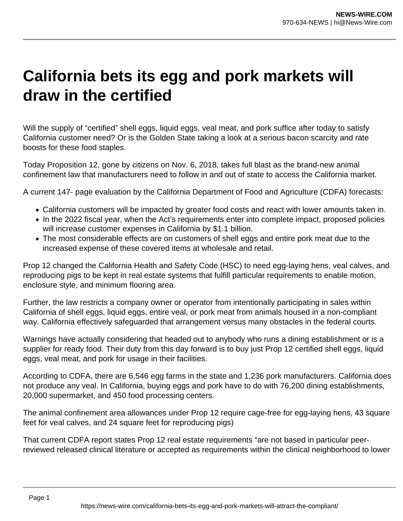## **California bets its egg and pork markets will draw in the certified**

Will the supply of "certified" shell eggs, liquid eggs, veal meat, and pork suffice after today to satisfy California customer need? Or is the Golden State taking a look at a serious bacon scarcity and rate boosts for these food staples.

Today Proposition 12, gone by citizens on Nov. 6, 2018, takes full blast as the brand-new animal confinement law that manufacturers need to follow in and out of state to access the California market.

A current 147- page evaluation by the California Department of Food and Agriculture (CDFA) forecasts:

- California customers will be impacted by greater food costs and react with lower amounts taken in.
- In the 2022 fiscal year, when the Act's requirements enter into complete impact, proposed policies will increase customer expenses in California by \$1.1 billion.
- The most considerable effects are on customers of shell eggs and entire pork meat due to the increased expense of these covered items at wholesale and retail.

Prop 12 changed the California Health and Safety Code (HSC) to need egg-laying hens, veal calves, and reproducing pigs to be kept in real estate systems that fulfill particular requirements to enable motion, enclosure style, and minimum flooring area.

Further, the law restricts a company owner or operator from intentionally participating in sales within California of shell eggs, liquid eggs, entire veal, or pork meat from animals housed in a non-compliant way. California effectively safeguarded that arrangement versus many obstacles in the federal courts.

Warnings have actually considering that headed out to anybody who runs a dining establishment or is a supplier for ready food. Their duty from this day forward is to buy just Prop 12 certified shell eggs, liquid eggs, veal meat, and pork for usage in their facilities.

According to CDFA, there are 6,546 egg farms in the state and 1,236 pork manufacturers. California does not produce any veal. In California, buying eggs and pork have to do with 76,200 dining establishments, 20,000 supermarket, and 450 food processing centers.

The animal confinement area allowances under Prop 12 require cage-free for egg-laying hens, 43 square feet for veal calves, and 24 square feet for reproducing pigs)

That current CDFA report states Prop 12 real estate requirements "are not based in particular peerreviewed released clinical literature or accepted as requirements within the clinical neighborhood to lower